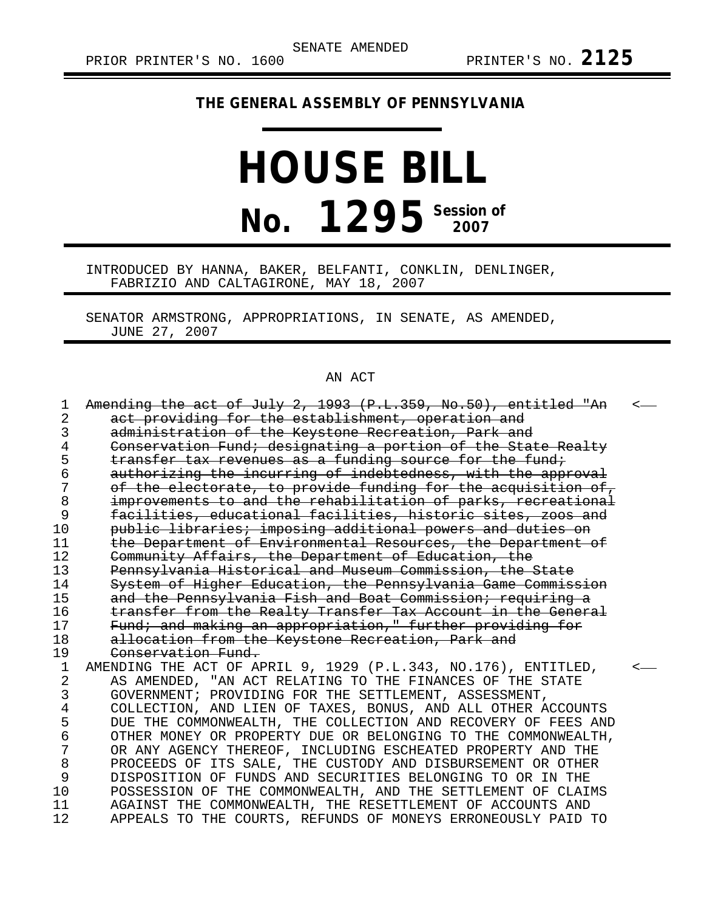## **THE GENERAL ASSEMBLY OF PENNSYLVANIA**

## **HOUSE BILL No. 1295** Session of

INTRODUCED BY HANNA, BAKER, BELFANTI, CONKLIN, DENLINGER, FABRIZIO AND CALTAGIRONE, MAY 18, 2007

SENATOR ARMSTRONG, APPROPRIATIONS, IN SENATE, AS AMENDED, JUNE 27, 2007

## AN ACT

| 1  | Amending the act of July 2, 1993 (P.L.359, No.50), entitled "An | ✓ |
|----|-----------------------------------------------------------------|---|
| 2  | act providing for the establishment, operation and              |   |
| 3  | administration of the Keystone Recreation, Park and             |   |
| 4  | Conservation Fund; designating a portion of the State Realty    |   |
| 5  | transfer tax revenues as a funding source for the fund;         |   |
| 6  | authorizing the incurring of indebtedness, with the approval    |   |
| 7  | of the electorate, to provide funding for the acquisition of,   |   |
| 8  | improvements to and the rehabilitation of parks, recreational   |   |
| 9  | facilities, educational facilities, historic sites, zoos and    |   |
| 10 | public libraries; imposing additional powers and duties on      |   |
| 11 | the Department of Environmental Resources, the Department of    |   |
| 12 | Community Affairs, the Department of Education, the             |   |
| 13 | Pennsylvania Historical and Museum Commission, the State        |   |
| 14 | System of Higher Education, the Pennsylvania Game Commission    |   |
| 15 | and the Pennsylvania Fish and Boat Commission; requiring a      |   |
| 16 | transfer from the Realty Transfer Tax Account in the General    |   |
| 17 | Fund; and making an appropriation," further providing for       |   |
| 18 | allocation from the Keystone Recreation, Park and               |   |
| 19 | Conservation Fund.                                              |   |
| 1  | AMENDING THE ACT OF APRIL 9, 1929 (P.L.343, NO.176), ENTITLED,  |   |
| 2  | AS AMENDED, "AN ACT RELATING TO THE FINANCES OF THE STATE       |   |
| 3  | GOVERNMENT; PROVIDING FOR THE SETTLEMENT, ASSESSMENT,           |   |
| 4  | COLLECTION, AND LIEN OF TAXES, BONUS, AND ALL OTHER ACCOUNTS    |   |
| 5  | DUE THE COMMONWEALTH, THE COLLECTION AND RECOVERY OF FEES AND   |   |
| 6  | OTHER MONEY OR PROPERTY DUE OR BELONGING TO THE COMMONWEALTH,   |   |
| 7  | OR ANY AGENCY THEREOF, INCLUDING ESCHEATED PROPERTY AND THE     |   |
| 8  | PROCEEDS OF ITS SALE, THE CUSTODY AND DISBURSEMENT OR OTHER     |   |
| 9  | DISPOSITION OF FUNDS AND SECURITIES BELONGING TO OR IN THE      |   |
| 10 | POSSESSION OF THE COMMONWEALTH, AND THE SETTLEMENT OF CLAIMS    |   |
| 11 | AGAINST THE COMMONWEALTH, THE RESETTLEMENT OF ACCOUNTS AND      |   |
| 12 | APPEALS TO THE COURTS, REFUNDS OF MONEYS ERRONEOUSLY PAID TO    |   |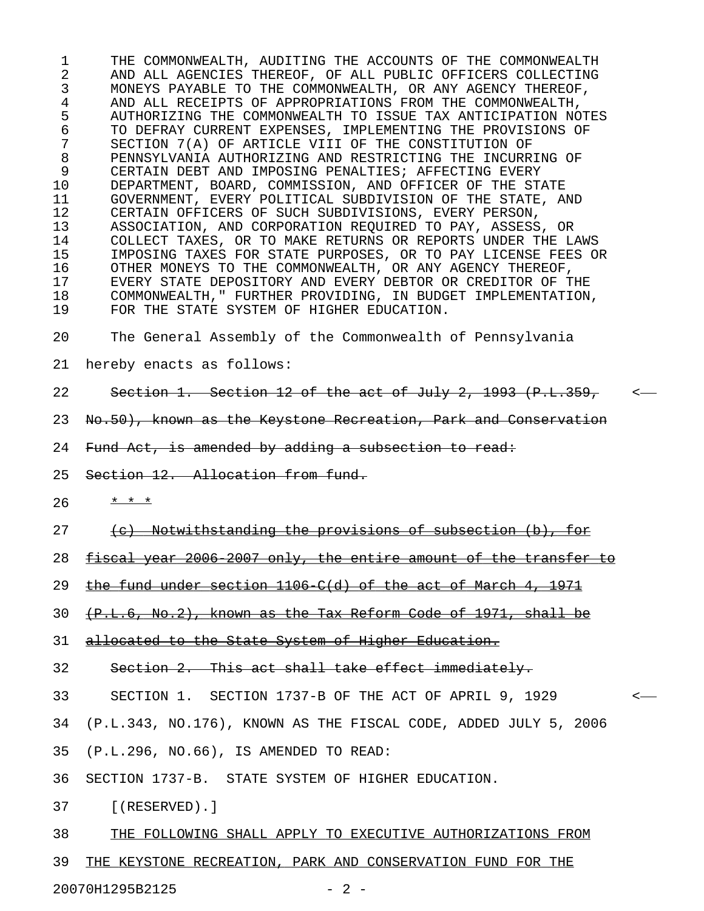1 THE COMMONWEALTH, AUDITING THE ACCOUNTS OF THE COMMONWEALTH 2 AND ALL AGENCIES THEREOF, OF ALL PUBLIC OFFICERS COLLECTING 3 MONEYS PAYABLE TO THE COMMONWEALTH, OR ANY AGENCY THEREOF, 4 AND ALL RECEIPTS OF APPROPRIATIONS FROM THE COMMONWEALTH, 5 AUTHORIZING THE COMMONWEALTH TO ISSUE TAX ANTICIPATION NOTES 6 TO DEFRAY CURRENT EXPENSES, IMPLEMENTING THE PROVISIONS OF 7 SECTION 7(A) OF ARTICLE VIII OF THE CONSTITUTION OF 8 PENNSYLVANIA AUTHORIZING AND RESTRICTING THE INCURRING OF 9 CERTAIN DEBT AND IMPOSING PENALTIES; AFFECTING EVERY 10 DEPARTMENT, BOARD, COMMISSION, AND OFFICER OF THE STATE 11 GOVERNMENT, EVERY POLITICAL SUBDIVISION OF THE STATE, AND 12 CERTAIN OFFICERS OF SUCH SUBDIVISIONS, EVERY PERSON, 13 ASSOCIATION, AND CORPORATION REQUIRED TO PAY, ASSESS, OR 14 COLLECT TAXES, OR TO MAKE RETURNS OR REPORTS UNDER THE LAWS 15 IMPOSING TAXES FOR STATE PURPOSES, OR TO PAY LICENSE FEES OR 16 OTHER MONEYS TO THE COMMONWEALTH, OR ANY AGENCY THEREOF, 17 EVERY STATE DEPOSITORY AND EVERY DEBTOR OR CREDITOR OF THE 18 COMMONWEALTH," FURTHER PROVIDING, IN BUDGET IMPLEMENTATION, 19 FOR THE STATE SYSTEM OF HIGHER EDUCATION.

20 The General Assembly of the Commonwealth of Pennsylvania

- 21 hereby enacts as follows:
- 22 Section 1. Section 12 of the act of July 2, 1993 (P.L.359, <
- 23 No.50), known as the Keystone Recreation, Park and Conservation
- 24 Fund Act, is amended by adding a subsection to read:
- 25 Section 12. Allocation from fund.
- $26 \times x + x$
- 27 (c) Notwithstanding the provisions of subsection (b), for
- 28 fiscal year 2006-2007 only, the entire amount of the transfer to
- 29 the fund under section  $1106$  C(d) of the act of March 4, 1971
- $30 \leftarrow \{P.L.6, No.2\}$ , known as the Tax Reform Code of 1971, shall be
- 31 allocated to the State System of Higher Education.
- 32 Section 2. This act shall take effect immediately.
- 33 SECTION 1. SECTION 1737-B OF THE ACT OF APRIL 9, 1929 <
- 34 (P.L.343, NO.176), KNOWN AS THE FISCAL CODE, ADDED JULY 5, 2006
- 35 (P.L.296, NO.66), IS AMENDED TO READ:
- 36 SECTION 1737-B. STATE SYSTEM OF HIGHER EDUCATION.
- 37 [(RESERVED).]
- 38 THE FOLLOWING SHALL APPLY TO EXECUTIVE AUTHORIZATIONS FROM
- 39 THE KEYSTONE RECREATION, PARK AND CONSERVATION FUND FOR THE